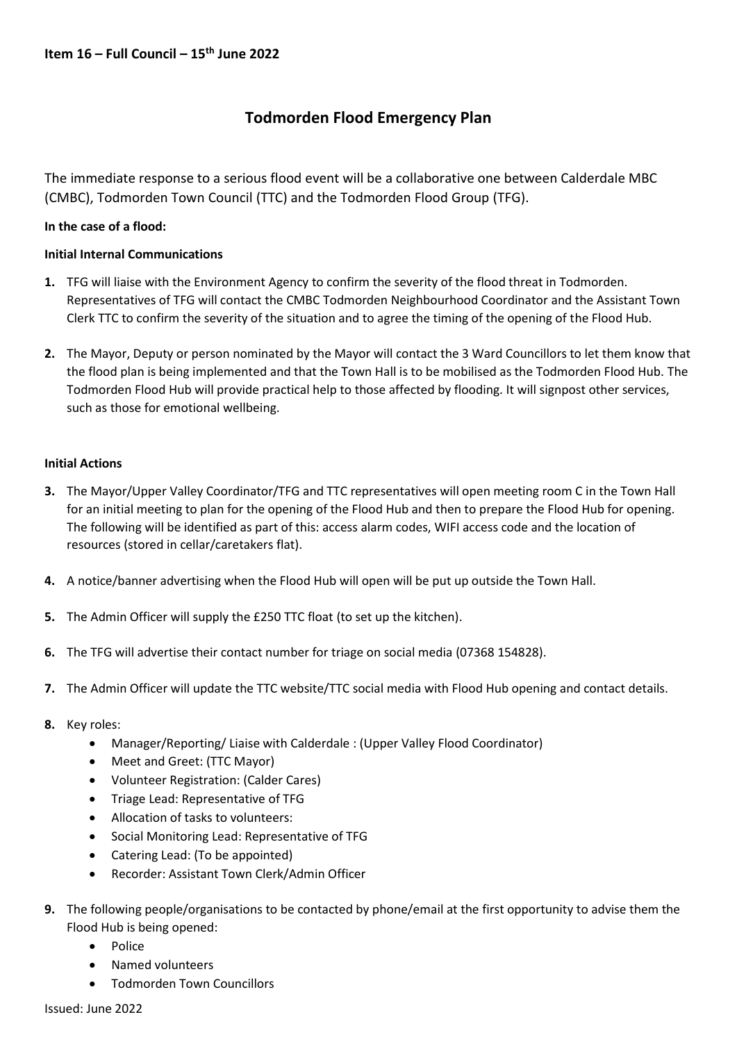# **Todmorden Flood Emergency Plan**

The immediate response to a serious flood event will be a collaborative one between Calderdale MBC (CMBC), Todmorden Town Council (TTC) and the Todmorden Flood Group (TFG).

## **In the case of a flood:**

## **Initial Internal Communications**

- **1.** TFG will liaise with the Environment Agency to confirm the severity of the flood threat in Todmorden. Representatives of TFG will contact the CMBC Todmorden Neighbourhood Coordinator and the Assistant Town Clerk TTC to confirm the severity of the situation and to agree the timing of the opening of the Flood Hub.
- **2.** The Mayor, Deputy or person nominated by the Mayor will contact the 3 Ward Councillors to let them know that the flood plan is being implemented and that the Town Hall is to be mobilised as the Todmorden Flood Hub. The Todmorden Flood Hub will provide practical help to those affected by flooding. It will signpost other services, such as those for emotional wellbeing.

## **Initial Actions**

- **3.** The Mayor/Upper Valley Coordinator/TFG and TTC representatives will open meeting room C in the Town Hall for an initial meeting to plan for the opening of the Flood Hub and then to prepare the Flood Hub for opening. The following will be identified as part of this: access alarm codes, WIFI access code and the location of resources (stored in cellar/caretakers flat).
- **4.** A notice/banner advertising when the Flood Hub will open will be put up outside the Town Hall.
- **5.** The Admin Officer will supply the £250 TTC float (to set up the kitchen).
- **6.** The TFG will advertise their contact number for triage on social media (07368 154828).
- **7.** The Admin Officer will update the TTC website/TTC social media with Flood Hub opening and contact details.
- **8.** Key roles:
	- Manager/Reporting/ Liaise with Calderdale : (Upper Valley Flood Coordinator)
	- Meet and Greet: (TTC Mayor)
	- Volunteer Registration: (Calder Cares)
	- Triage Lead: Representative of TFG
	- Allocation of tasks to volunteers:
	- Social Monitoring Lead: Representative of TFG
	- Catering Lead: (To be appointed)
	- Recorder: Assistant Town Clerk/Admin Officer
- **9.** The following people/organisations to be contacted by phone/email at the first opportunity to advise them the Flood Hub is being opened:
	- Police
	- Named volunteers
	- Todmorden Town Councillors